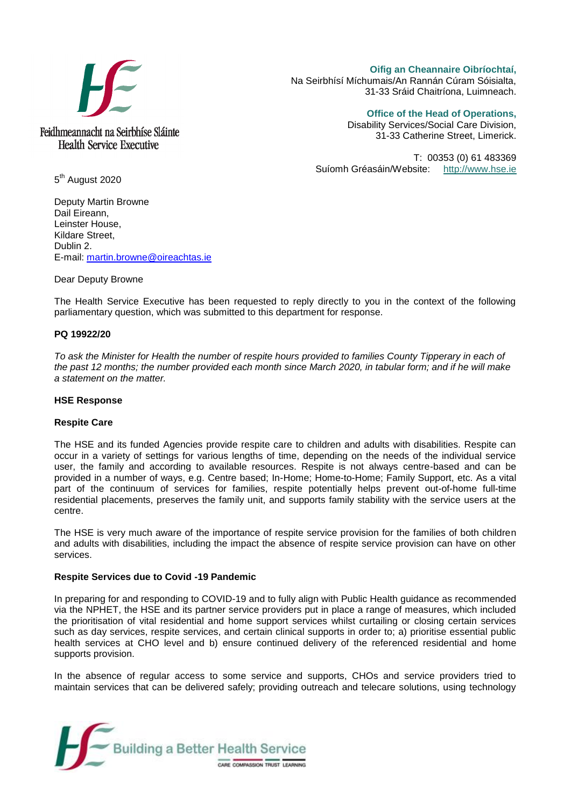

**Oifig an Cheannaire Oibríochtaí,**  Na Seirbhísí Míchumais/An Rannán Cúram Sóisialta, 31-33 Sráid Chaitríona, Luimneach.

**Office of the Head of Operations,** 

Disability Services/Social Care Division, 31-33 Catherine Street, Limerick.

T: 00353 (0) 61 483369 Suíomh Gréasáin/Website: [http://www.hse.ie](http://www.hse.ie/)

5<sup>th</sup> August 2020

Deputy Martin Browne Dail Eireann, Leinster House, Kildare Street, Dublin 2. E-mail: [martin.browne@oireachtas.ie](mailto:martin.browne@oireachtas.ie)

Dear Deputy Browne

The Health Service Executive has been requested to reply directly to you in the context of the following parliamentary question, which was submitted to this department for response.

# **PQ 19922/20**

*To ask the Minister for Health the number of respite hours provided to families County Tipperary in each of the past 12 months; the number provided each month since March 2020, in tabular form; and if he will make a statement on the matter.* 

## **HSE Response**

## **Respite Care**

The HSE and its funded Agencies provide respite care to children and adults with disabilities. Respite can occur in a variety of settings for various lengths of time, depending on the needs of the individual service user, the family and according to available resources. Respite is not always centre-based and can be provided in a number of ways, e.g. Centre based; In-Home; Home-to-Home; Family Support, etc. As a vital part of the continuum of services for families, respite potentially helps prevent out-of-home full-time residential placements, preserves the family unit, and supports family stability with the service users at the centre.

The HSE is very much aware of the importance of respite service provision for the families of both children and adults with disabilities, including the impact the absence of respite service provision can have on other services.

## **Respite Services due to Covid -19 Pandemic**

In preparing for and responding to COVID-19 and to fully align with Public Health guidance as recommended via the NPHET, the HSE and its partner service providers put in place a range of measures, which included the prioritisation of vital residential and home support services whilst curtailing or closing certain services such as day services, respite services, and certain clinical supports in order to; a) prioritise essential public health services at CHO level and b) ensure continued delivery of the referenced residential and home supports provision.

In the absence of regular access to some service and supports, CHOs and service providers tried to maintain services that can be delivered safely; providing outreach and telecare solutions, using technology

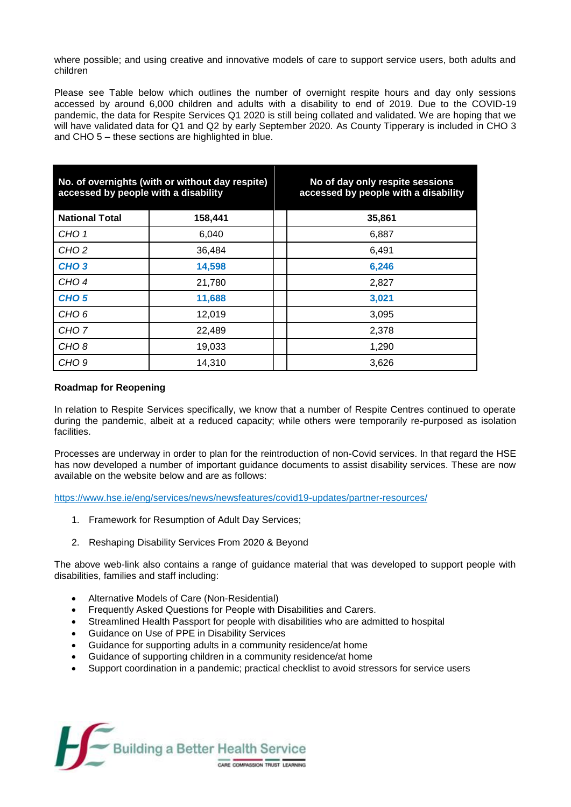where possible; and using creative and innovative models of care to support service users, both adults and children

Please see Table below which outlines the number of overnight respite hours and day only sessions accessed by around 6,000 children and adults with a disability to end of 2019. Due to the COVID-19 pandemic, the data for Respite Services Q1 2020 is still being collated and validated. We are hoping that we will have validated data for Q1 and Q2 by early September 2020. As County Tipperary is included in CHO 3 and CHO 5 – these sections are highlighted in blue.

| No. of overnights (with or without day respite)<br>accessed by people with a disability |         | No of day only respite sessions<br>accessed by people with a disability |
|-----------------------------------------------------------------------------------------|---------|-------------------------------------------------------------------------|
| <b>National Total</b>                                                                   | 158,441 | 35,861                                                                  |
| CHO <sub>1</sub>                                                                        | 6,040   | 6,887                                                                   |
| CHO <sub>2</sub>                                                                        | 36,484  | 6,491                                                                   |
| CHO <sub>3</sub>                                                                        | 14,598  | 6,246                                                                   |
| CHO <sub>4</sub>                                                                        | 21,780  | 2,827                                                                   |
| CHO <sub>5</sub>                                                                        | 11,688  | 3,021                                                                   |
| CHO <sub>6</sub>                                                                        | 12,019  | 3,095                                                                   |
| CHO <sub>7</sub>                                                                        | 22,489  | 2,378                                                                   |
| CHO <sub>8</sub>                                                                        | 19,033  | 1,290                                                                   |
| CHO <sub>9</sub>                                                                        | 14,310  | 3,626                                                                   |

# **Roadmap for Reopening**

In relation to Respite Services specifically, we know that a number of Respite Centres continued to operate during the pandemic, albeit at a reduced capacity; while others were temporarily re-purposed as isolation facilities.

Processes are underway in order to plan for the reintroduction of non-Covid services. In that regard the HSE has now developed a number of important guidance documents to assist disability services. These are now available on the website below and are as follows:

<https://www.hse.ie/eng/services/news/newsfeatures/covid19-updates/partner-resources/>

- 1. Framework for Resumption of Adult Day Services;
- 2. Reshaping Disability Services From 2020 & Beyond

The above web-link also contains a range of guidance material that was developed to support people with disabilities, families and staff including:

- Alternative Models of Care (Non-Residential)
- Frequently Asked Questions for People with Disabilities and Carers.
- Streamlined Health Passport for people with disabilities who are admitted to hospital
- Guidance on Use of PPE in Disability Services
- Guidance for supporting adults in a community residence/at home
- Guidance of supporting children in a community residence/at home
- Support coordination in a pandemic; practical checklist to avoid stressors for service users